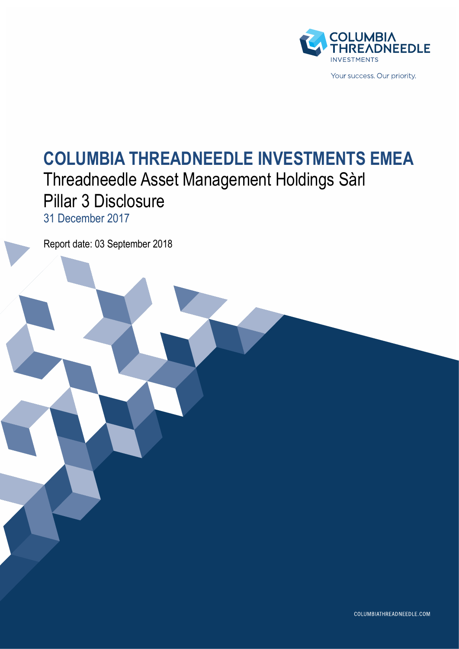

# **COLUMBIA THREADNEEDLE INVESTMENTS EMEA** Threadneedle Asset Management Holdings Sàrl Pillar 3 Disclosure 31 December 2017

Report date: 03 September 2018

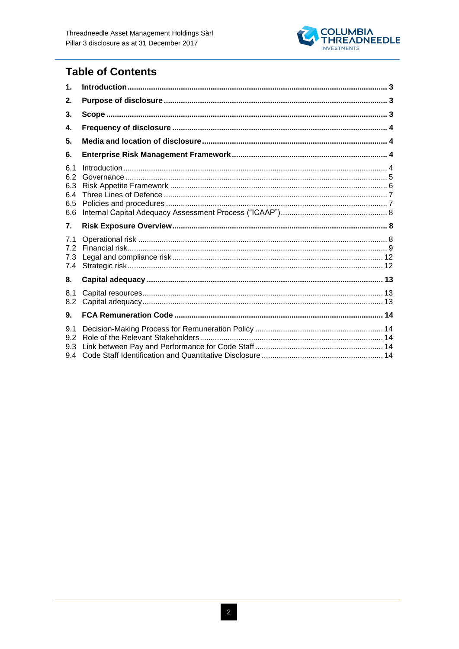

# **Table of Contents**

| 1.                                     |  |
|----------------------------------------|--|
| 2.                                     |  |
| 3.                                     |  |
| 4.                                     |  |
| 5.                                     |  |
| 6.                                     |  |
| 6.1<br>6.2<br>6.3<br>6.4<br>6.5<br>6.6 |  |
| 7.                                     |  |
| 7.1<br>72<br>7.3<br>7.4                |  |
| 8.                                     |  |
| 8.1<br>8.2                             |  |
| 9.                                     |  |
|                                        |  |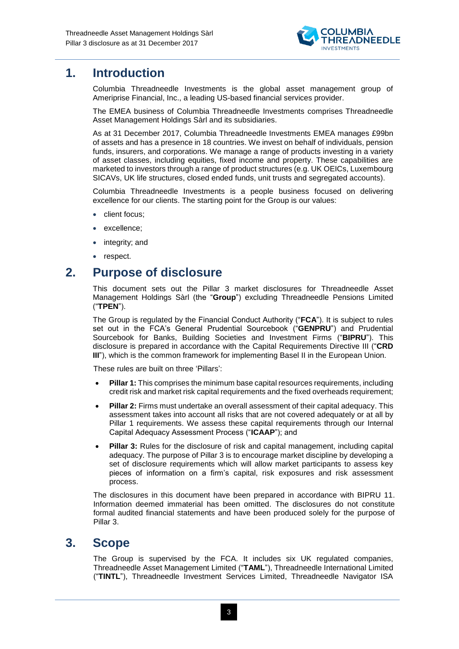

# <span id="page-2-0"></span>**1. Introduction**

Columbia Threadneedle Investments is the global asset management group of Ameriprise Financial, Inc., a leading US-based financial services provider.

The EMEA business of Columbia Threadneedle Investments comprises Threadneedle Asset Management Holdings Sàrl and its subsidiaries.

As at 31 December 2017, Columbia Threadneedle Investments EMEA manages £99bn of assets and has a presence in 18 countries. We invest on behalf of individuals, pension funds, insurers, and corporations. We manage a range of products investing in a variety of asset classes, including equities, fixed income and property. These capabilities are marketed to investors through a range of product structures (e.g. UK OEICs, Luxembourg SICAVs, UK life structures, closed ended funds, unit trusts and segregated accounts).

Columbia Threadneedle Investments is a people business focused on delivering excellence for our clients. The starting point for the Group is our values:

- client focus;
- excellence;
- integrity; and
- respect.

### <span id="page-2-1"></span>**2. Purpose of disclosure**

This document sets out the Pillar 3 market disclosures for Threadneedle Asset Management Holdings Sàrl (the "**Group**") excluding Threadneedle Pensions Limited ("**TPEN**").

The Group is regulated by the Financial Conduct Authority ("**FCA**"). It is subject to rules set out in the FCA's General Prudential Sourcebook ("**GENPRU**") and Prudential Sourcebook for Banks, Building Societies and Investment Firms ("**BIPRU**"). This disclosure is prepared in accordance with the Capital Requirements Directive III ("**CRD III**"), which is the common framework for implementing Basel II in the European Union.

These rules are built on three 'Pillars':

- **Pillar 1:** This comprises the minimum base capital resources requirements, including credit risk and market risk capital requirements and the fixed overheads requirement;
- **Pillar 2:** Firms must undertake an overall assessment of their capital adequacy. This assessment takes into account all risks that are not covered adequately or at all by Pillar 1 requirements. We assess these capital requirements through our Internal Capital Adequacy Assessment Process ("**ICAAP**"); and
- **Pillar 3:** Rules for the disclosure of risk and capital management, including capital adequacy. The purpose of Pillar 3 is to encourage market discipline by developing a set of disclosure requirements which will allow market participants to assess key pieces of information on a firm's capital, risk exposures and risk assessment process.

The disclosures in this document have been prepared in accordance with BIPRU 11. Information deemed immaterial has been omitted. The disclosures do not constitute formal audited financial statements and have been produced solely for the purpose of Pillar 3.

### <span id="page-2-2"></span>**3. Scope**

The Group is supervised by the FCA. It includes six UK regulated companies, Threadneedle Asset Management Limited ("**TAML**"), Threadneedle International Limited ("**TINTL**"), Threadneedle Investment Services Limited, Threadneedle Navigator ISA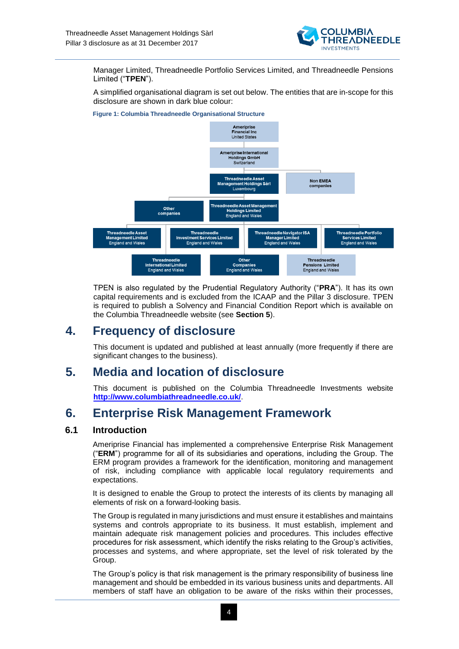

Manager Limited, Threadneedle Portfolio Services Limited, and Threadneedle Pensions Limited ("**TPEN**").

A simplified organisational diagram is set out below. The entities that are in-scope for this disclosure are shown in dark blue colour:



**Figure 1: Columbia Threadneedle Organisational Structure**

TPEN is also regulated by the Prudential Regulatory Authority ("**PRA**"). It has its own capital requirements and is excluded from the ICAAP and the Pillar 3 disclosure. TPEN is required to publish a Solvency and Financial Condition Report which is available on the Columbia Threadneedle website (see **Section 5**).

# <span id="page-3-0"></span>**4. Frequency of disclosure**

This document is updated and published at least annually (more frequently if there are significant changes to the business).

# <span id="page-3-1"></span>**5. Media and location of disclosure**

This document is published on the Columbia Threadneedle Investments website **<http://www.columbiathreadneedle.co.uk/>**.

# <span id="page-3-2"></span>**6. Enterprise Risk Management Framework**

### <span id="page-3-3"></span>**6.1 Introduction**

Ameriprise Financial has implemented a comprehensive Enterprise Risk Management ("**ERM**") programme for all of its subsidiaries and operations, including the Group. The ERM program provides a framework for the identification, monitoring and management of risk, including compliance with applicable local regulatory requirements and expectations.

It is designed to enable the Group to protect the interests of its clients by managing all elements of risk on a forward-looking basis.

The Group is regulated in many jurisdictions and must ensure it establishes and maintains systems and controls appropriate to its business. It must establish, implement and maintain adequate risk management policies and procedures. This includes effective procedures for risk assessment, which identify the risks relating to the Group's activities, processes and systems, and where appropriate, set the level of risk tolerated by the Group.

The Group's policy is that risk management is the primary responsibility of business line management and should be embedded in its various business units and departments. All members of staff have an obligation to be aware of the risks within their processes,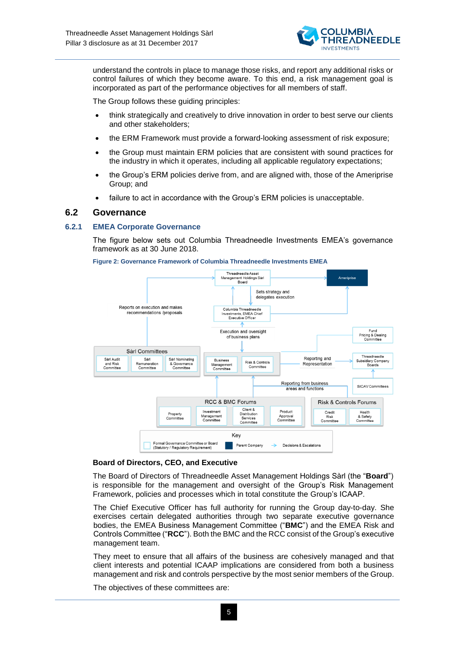

understand the controls in place to manage those risks, and report any additional risks or control failures of which they become aware. To this end, a risk management goal is incorporated as part of the performance objectives for all members of staff.

The Group follows these guiding principles:

- think strategically and creatively to drive innovation in order to best serve our clients and other stakeholders;
- the ERM Framework must provide a forward-looking assessment of risk exposure;
- the Group must maintain ERM policies that are consistent with sound practices for the industry in which it operates, including all applicable regulatory expectations;
- the Group's ERM policies derive from, and are aligned with, those of the Ameriprise Group; and
- failure to act in accordance with the Group's ERM policies is unacceptable.

#### <span id="page-4-0"></span>**6.2 Governance**

#### **6.2.1 EMEA Corporate Governance**

The figure below sets out Columbia Threadneedle Investments EMEA's governance framework as at 30 June 2018.



**Figure 2: Governance Framework of Columbia Threadneedle Investments EMEA**

#### **Board of Directors, CEO, and Executive**

The Board of Directors of Threadneedle Asset Management Holdings Sàrl (the "**Board**") is responsible for the management and oversight of the Group's Risk Management Framework, policies and processes which in total constitute the Group's ICAAP.

The Chief Executive Officer has full authority for running the Group day-to-day. She exercises certain delegated authorities through two separate executive governance bodies, the EMEA Business Management Committee ("**BMC**") and the EMEA Risk and Controls Committee ("**RCC**"). Both the BMC and the RCC consist of the Group's executive management team.

They meet to ensure that all affairs of the business are cohesively managed and that client interests and potential ICAAP implications are considered from both a business management and risk and controls perspective by the most senior members of the Group.

The objectives of these committees are: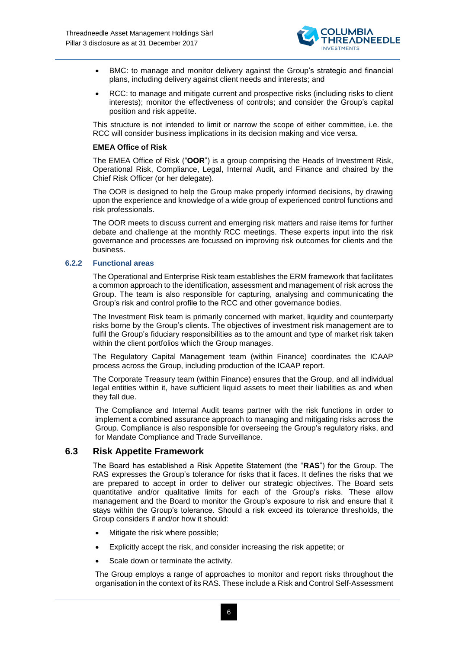

- BMC: to manage and monitor delivery against the Group's strategic and financial plans, including delivery against client needs and interests; and
- RCC: to manage and mitigate current and prospective risks (including risks to client interests); monitor the effectiveness of controls; and consider the Group's capital position and risk appetite.

This structure is not intended to limit or narrow the scope of either committee, i.e. the RCC will consider business implications in its decision making and vice versa.

#### **EMEA Office of Risk**

The EMEA Office of Risk ("**OOR**") is a group comprising the Heads of Investment Risk, Operational Risk, Compliance, Legal, Internal Audit, and Finance and chaired by the Chief Risk Officer (or her delegate).

The OOR is designed to help the Group make properly informed decisions, by drawing upon the experience and knowledge of a wide group of experienced control functions and risk professionals.

The OOR meets to discuss current and emerging risk matters and raise items for further debate and challenge at the monthly RCC meetings. These experts input into the risk governance and processes are focussed on improving risk outcomes for clients and the business.

#### **6.2.2 Functional areas**

The Operational and Enterprise Risk team establishes the ERM framework that facilitates a common approach to the identification, assessment and management of risk across the Group. The team is also responsible for capturing, analysing and communicating the Group's risk and control profile to the RCC and other governance bodies.

The Investment Risk team is primarily concerned with market, liquidity and counterparty risks borne by the Group's clients. The objectives of investment risk management are to fulfil the Group's fiduciary responsibilities as to the amount and type of market risk taken within the client portfolios which the Group manages.

The Regulatory Capital Management team (within Finance) coordinates the ICAAP process across the Group, including production of the ICAAP report.

The Corporate Treasury team (within Finance) ensures that the Group, and all individual legal entities within it, have sufficient liquid assets to meet their liabilities as and when they fall due.

The Compliance and Internal Audit teams partner with the risk functions in order to implement a combined assurance approach to managing and mitigating risks across the Group. Compliance is also responsible for overseeing the Group's regulatory risks, and for Mandate Compliance and Trade Surveillance.

#### <span id="page-5-0"></span>**6.3 Risk Appetite Framework**

The Board has established a Risk Appetite Statement (the "**RAS**") for the Group. The RAS expresses the Group's tolerance for risks that it faces. It defines the risks that we are prepared to accept in order to deliver our strategic objectives. The Board sets quantitative and/or qualitative limits for each of the Group's risks. These allow management and the Board to monitor the Group's exposure to risk and ensure that it stays within the Group's tolerance. Should a risk exceed its tolerance thresholds, the Group considers if and/or how it should:

- Mitigate the risk where possible;
- Explicitly accept the risk, and consider increasing the risk appetite; or
- Scale down or terminate the activity.

The Group employs a range of approaches to monitor and report risks throughout the organisation in the context of its RAS. These include a Risk and Control Self-Assessment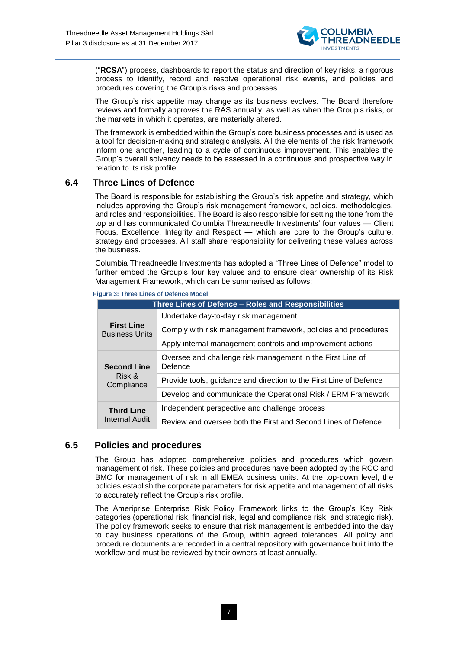

("**RCSA**") process, dashboards to report the status and direction of key risks, a rigorous process to identify, record and resolve operational risk events, and policies and procedures covering the Group's risks and processes.

The Group's risk appetite may change as its business evolves. The Board therefore reviews and formally approves the RAS annually, as well as when the Group's risks, or the markets in which it operates, are materially altered.

The framework is embedded within the Group's core business processes and is used as a tool for decision-making and strategic analysis. All the elements of the risk framework inform one another, leading to a cycle of continuous improvement. This enables the Group's overall solvency needs to be assessed in a continuous and prospective way in relation to its risk profile.

### <span id="page-6-0"></span>**6.4 Three Lines of Defence**

The Board is responsible for establishing the Group's risk appetite and strategy, which includes approving the Group's risk management framework, policies, methodologies, and roles and responsibilities. The Board is also responsible for setting the tone from the top and has communicated Columbia Threadneedle Investments' four values — Client Focus, Excellence, Integrity and Respect — which are core to the Group's culture, strategy and processes. All staff share responsibility for delivering these values across the business.

Columbia Threadneedle Investments has adopted a "Three Lines of Defence" model to further embed the Group's four key values and to ensure clear ownership of its Risk Management Framework, which can be summarised as follows:

| <b>Figure 3: Three Lines of Defence Model</b> |  |  |  |  |  |
|-----------------------------------------------|--|--|--|--|--|
|-----------------------------------------------|--|--|--|--|--|

| Three Lines of Defence - Roles and Responsibilities |                                                                       |  |  |  |
|-----------------------------------------------------|-----------------------------------------------------------------------|--|--|--|
|                                                     | Undertake day-to-day risk management                                  |  |  |  |
| <b>First Line</b><br><b>Business Units</b>          | Comply with risk management framework, policies and procedures        |  |  |  |
|                                                     | Apply internal management controls and improvement actions            |  |  |  |
| <b>Second Line</b>                                  | Oversee and challenge risk management in the First Line of<br>Defence |  |  |  |
| Risk &<br>Compliance                                | Provide tools, guidance and direction to the First Line of Defence    |  |  |  |
|                                                     | Develop and communicate the Operational Risk / ERM Framework          |  |  |  |
| <b>Third Line</b>                                   | Independent perspective and challenge process                         |  |  |  |
| Internal Audit                                      | Review and oversee both the First and Second Lines of Defence         |  |  |  |

### <span id="page-6-1"></span>**6.5 Policies and procedures**

The Group has adopted comprehensive policies and procedures which govern management of risk. These policies and procedures have been adopted by the RCC and BMC for management of risk in all EMEA business units. At the top-down level, the policies establish the corporate parameters for risk appetite and management of all risks to accurately reflect the Group's risk profile.

The Ameriprise Enterprise Risk Policy Framework links to the Group's Key Risk categories (operational risk, financial risk, legal and compliance risk, and strategic risk). The policy framework seeks to ensure that risk management is embedded into the day to day business operations of the Group, within agreed tolerances. All policy and procedure documents are recorded in a central repository with governance built into the workflow and must be reviewed by their owners at least annually.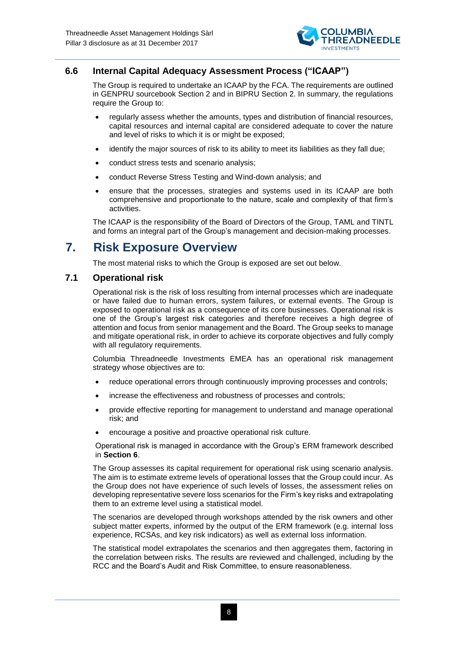

### <span id="page-7-0"></span>**6.6 Internal Capital Adequacy Assessment Process ("ICAAP")**

The Group is required to undertake an ICAAP by the FCA. The requirements are outlined in GENPRU sourcebook Section 2 and in BIPRU Section 2. In summary, the regulations require the Group to:

- regularly assess whether the amounts, types and distribution of financial resources, capital resources and internal capital are considered adequate to cover the nature and level of risks to which it is or might be exposed;
- identify the major sources of risk to its ability to meet its liabilities as they fall due;
- conduct stress tests and scenario analysis;
- conduct Reverse Stress Testing and Wind-down analysis; and
- ensure that the processes, strategies and systems used in its ICAAP are both comprehensive and proportionate to the nature, scale and complexity of that firm's activities.

The ICAAP is the responsibility of the Board of Directors of the Group, TAML and TINTL and forms an integral part of the Group's management and decision-making processes.

# <span id="page-7-1"></span>**7. Risk Exposure Overview**

The most material risks to which the Group is exposed are set out below.

### <span id="page-7-2"></span>**7.1 Operational risk**

Operational risk is the risk of loss resulting from internal processes which are inadequate or have failed due to human errors, system failures, or external events. The Group is exposed to operational risk as a consequence of its core businesses. Operational risk is one of the Group's largest risk categories and therefore receives a high degree of attention and focus from senior management and the Board. The Group seeks to manage and mitigate operational risk, in order to achieve its corporate objectives and fully comply with all regulatory requirements.

Columbia Threadneedle Investments EMEA has an operational risk management strategy whose objectives are to:

- reduce operational errors through continuously improving processes and controls;
- increase the effectiveness and robustness of processes and controls;
- provide effective reporting for management to understand and manage operational risk; and
- encourage a positive and proactive operational risk culture.

Operational risk is managed in accordance with the Group's ERM framework described in **Section 6**.

The Group assesses its capital requirement for operational risk using scenario analysis. The aim is to estimate extreme levels of operational losses that the Group could incur. As the Group does not have experience of such levels of losses, the assessment relies on developing representative severe loss scenarios for the Firm's key risks and extrapolating them to an extreme level using a statistical model.

The scenarios are developed through workshops attended by the risk owners and other subject matter experts, informed by the output of the ERM framework (e.g. internal loss experience, RCSAs, and key risk indicators) as well as external loss information.

The statistical model extrapolates the scenarios and then aggregates them, factoring in the correlation between risks. The results are reviewed and challenged, including by the RCC and the Board's Audit and Risk Committee, to ensure reasonableness.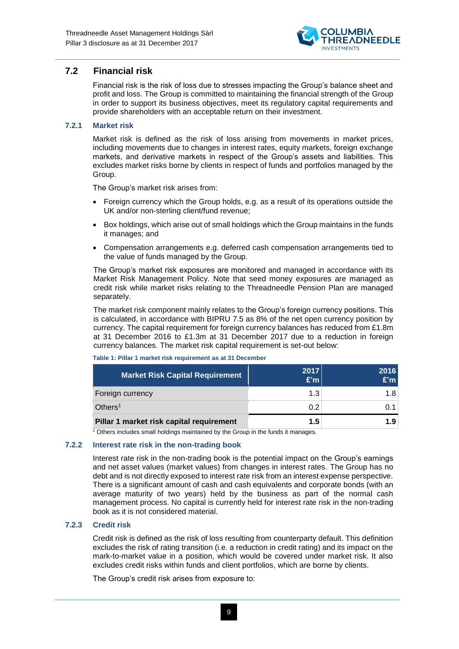

### **7.2 Financial risk**

<span id="page-8-0"></span>Financial risk is the risk of loss due to stresses impacting the Group's balance sheet and profit and loss. The Group is committed to maintaining the financial strength of the Group in order to support its business objectives, meet its regulatory capital requirements and provide shareholders with an acceptable return on their investment.

#### **7.2.1 Market risk**

Market risk is defined as the risk of loss arising from movements in market prices, including movements due to changes in interest rates, equity markets, foreign exchange markets, and derivative markets in respect of the Group's assets and liabilities. This excludes market risks borne by clients in respect of funds and portfolios managed by the Group.

The Group's market risk arises from:

- Foreign currency which the Group holds, e.g. as a result of its operations outside the UK and/or non-sterling client/fund revenue;
- Box holdings, which arise out of small holdings which the Group maintains in the funds it manages; and
- Compensation arrangements e.g. deferred cash compensation arrangements tied to the value of funds managed by the Group.

The Group's market risk exposures are monitored and managed in accordance with its Market Risk Management Policy. Note that seed money exposures are managed as credit risk while market risks relating to the Threadneedle Pension Plan are managed separately.

The market risk component mainly relates to the Group's foreign currency positions. This is calculated, in accordance with BIPRU 7.5 as 8% of the net open currency position by currency. The capital requirement for foreign currency balances has reduced from £1.8m at 31 December 2016 to £1.3m at 31 December 2017 due to a reduction in foreign currency balances. The market risk capital requirement is set-out below:

| <b>Market Risk Capital Requirement</b>   | 2017<br>E'm | 2016<br>E'm |
|------------------------------------------|-------------|-------------|
| Foreign currency                         | 1.3         | 1.8         |
| Others <sup>1</sup>                      | 0.2         | O 1         |
| Pillar 1 market risk capital requirement | 1.5         | 1.9         |

**Table 1: Pillar 1 market risk requirement as at 31 December**

<sup>1</sup> Others includes small holdings maintained by the Group in the funds it manages.

#### **7.2.2 Interest rate risk in the non-trading book**

Interest rate risk in the non-trading book is the potential impact on the Group's earnings and net asset values (market values) from changes in interest rates. The Group has no debt and is not directly exposed to interest rate risk from an interest expense perspective. There is a significant amount of cash and cash equivalents and corporate bonds (with an average maturity of two years) held by the business as part of the normal cash management process. No capital is currently held for interest rate risk in the non-trading book as it is not considered material.

#### **7.2.3 Credit risk**

Credit risk is defined as the risk of loss resulting from counterparty default. This definition excludes the risk of rating transition (i.e. a reduction in credit rating) and its impact on the mark-to-market value in a position, which would be covered under market risk. It also excludes credit risks within funds and client portfolios, which are borne by clients.

The Group's credit risk arises from exposure to: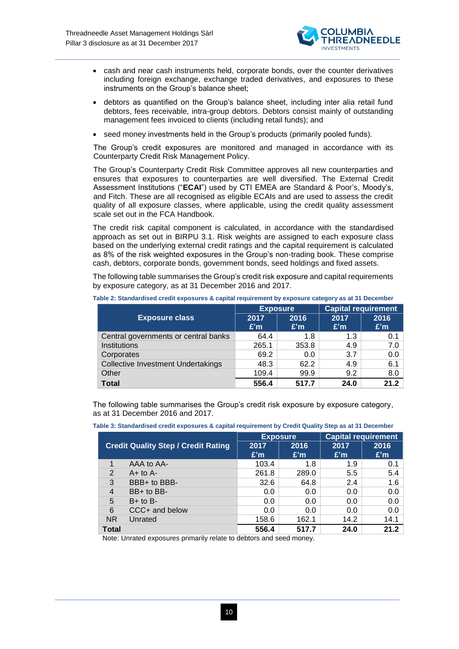

- cash and near cash instruments held, corporate bonds, over the counter derivatives including foreign exchange, exchange traded derivatives, and exposures to these instruments on the Group's balance sheet;
- debtors as quantified on the Group's balance sheet, including inter alia retail fund debtors, fees receivable, intra-group debtors. Debtors consist mainly of outstanding management fees invoiced to clients (including retail funds); and
- seed money investments held in the Group's products (primarily pooled funds).

The Group's credit exposures are monitored and managed in accordance with its Counterparty Credit Risk Management Policy.

The Group's Counterparty Credit Risk Committee approves all new counterparties and ensures that exposures to counterparties are well diversified. The External Credit Assessment Institutions ("**ECAI**") used by CTI EMEA are Standard & Poor's, Moody's, and Fitch. These are all recognised as eligible ECAIs and are used to assess the credit quality of all exposure classes, where applicable, using the credit quality assessment scale set out in the FCA Handbook.

The credit risk capital component is calculated, in accordance with the standardised approach as set out in BIRPU 3.1. Risk weights are assigned to each exposure class based on the underlying external credit ratings and the capital requirement is calculated as 8% of the risk weighted exposures in the Group's non-trading book. These comprise cash, debtors, corporate bonds, government bonds, seed holdings and fixed assets.

The following table summarises the Group's credit risk exposure and capital requirements by exposure category, as at 31 December 2016 and 2017.

|                                           | <b>Exposure</b> |       | <b>Capital requirement</b> |      |
|-------------------------------------------|-----------------|-------|----------------------------|------|
| <b>Exposure class</b>                     | 2017            | 2016  | 2017                       | 2016 |
|                                           | E'm             | E'm   | E'm                        | E'm  |
| Central governments or central banks      | 64.4            | 1.8   | 1.3                        | 0.1  |
| Institutions                              | 265.1           | 353.8 | 4.9                        | 7.0  |
| Corporates                                | 69.2            | 0.0   | 3.7                        | 0.0  |
| <b>Collective Investment Undertakings</b> | 48.3            | 62.2  | 4.9                        | 6.1  |
| Other                                     | 109.4           | 99.9  | 9.2                        | 8.0  |
| <b>Total</b>                              | 556.4           | 517.7 | 24.0                       | 212  |

**Table 2: Standardised credit exposures & capital requirement by exposure category as at 31 December**

The following table summarises the Group's credit risk exposure by exposure category, as at 31 December 2016 and 2017.

|  | Table 3: Standardised credit exposures & capital requirement by Credit Quality Step as at 31 December |
|--|-------------------------------------------------------------------------------------------------------|
|--|-------------------------------------------------------------------------------------------------------|

|                |                                            | <b>Exposure</b> |       | <b>Capital requirement</b> |      |
|----------------|--------------------------------------------|-----------------|-------|----------------------------|------|
|                | <b>Credit Quality Step / Credit Rating</b> | 2017            | 2016  | 2017                       | 2016 |
|                |                                            | E'm             | E'm   | E'm                        | E'm  |
|                | AAA to AA-                                 | 103.4           | 1.8   | 1.9                        | 0.1  |
| 2              | $A+$ to $A-$                               | 261.8           | 289.0 | 5.5                        | 5.4  |
| 3              | BBB+ to BBB-                               | 32.6            | 64.8  | 2.4                        | 1.6  |
| 4              | BB+ to BB-                                 | 0.0             | 0.0   | 0.0                        | 0.0  |
| 5              | $B+$ to $B-$                               | 0.0             | 0.0   | 0.0                        | 0.0  |
| 6              | CCC+ and below                             | 0.0             | 0.0   | 0.0                        | 0.0  |
| N <sub>R</sub> | Unrated                                    | 158.6           | 162.1 | 14.2                       | 14.1 |
| <b>Total</b>   |                                            | 556.4           | 517.7 | 24.0                       | 21.2 |

Note: Unrated exposures primarily relate to debtors and seed money.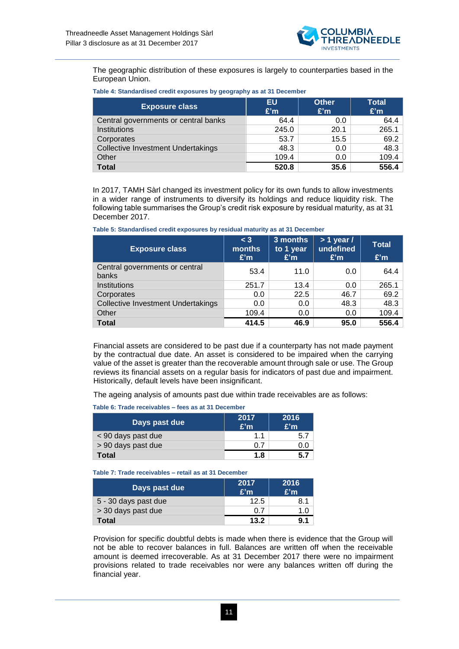

The geographic distribution of these exposures is largely to counterparties based in the European Union.

| Table 4: Standardised credit exposures by geography as at 31 December |  |
|-----------------------------------------------------------------------|--|
|-----------------------------------------------------------------------|--|

| <b>Exposure class</b>                     | EU<br>E'm | <b>Other</b><br>E'm | <b>Total</b><br>E'm |
|-------------------------------------------|-----------|---------------------|---------------------|
| Central governments or central banks      | 64.4      | 0.0                 | 64.4                |
| Institutions                              | 245.0     | 20.1                | 265.1               |
| Corporates                                | 53.7      | 15.5                | 69.2                |
| <b>Collective Investment Undertakings</b> | 48.3      | 0.0                 | 48.3                |
| Other                                     | 109.4     | 0.0                 | 109.4               |
| <b>Total</b>                              | 520.8     | 35.6                | 556.4               |

In 2017, TAMH Sàrl changed its investment policy for its own funds to allow investments in a wider range of instruments to diversify its holdings and reduce liquidity risk. The following table summarises the Group's credit risk exposure by residual maturity, as at 31 December 2017.

| Table 5: Standardised credit exposures by residual maturity as at 31 December |  |  |
|-------------------------------------------------------------------------------|--|--|
|                                                                               |  |  |

| <b>Exposure class</b>                     | $<$ 3<br>months<br>E'm | 3 months<br>to 1 year<br>E'm | $> 1$ year /<br>undefined<br>E'm | <b>Total</b><br>E'm |
|-------------------------------------------|------------------------|------------------------------|----------------------------------|---------------------|
| Central governments or central<br>banks   | 53.4                   | 11.0                         | 0.0                              | 64.4                |
| Institutions                              | 251.7                  | 13.4                         | 0.0                              | 265.1               |
| Corporates                                | 0.0                    | 22.5                         | 46.7                             | 69.2                |
| <b>Collective Investment Undertakings</b> | 0.0                    | 0.0                          | 48.3                             | 48.3                |
| Other                                     | 109.4                  | 0.0                          | 0.0                              | 109.4               |
| <b>Total</b>                              | 414.5                  | 46.9                         | 95.0                             | 556.4               |

Financial assets are considered to be past due if a counterparty has not made payment by the contractual due date. An asset is considered to be impaired when the carrying value of the asset is greater than the recoverable amount through sale or use. The Group reviews its financial assets on a regular basis for indicators of past due and impairment. Historically, default levels have been insignificant.

The ageing analysis of amounts past due within trade receivables are as follows:

| Days past due      | 2017<br>E'm | 2016<br>E'm |
|--------------------|-------------|-------------|
| < 90 days past due | $1\quad1$   |             |
| > 90 days past due | 0.7         |             |
| Total              | 1.8         |             |

**Table 6: Trade receivables – fees as at 31 December**

**Table 7: Trade receivables – retail as at 31 December**

| Days past due        | 2017<br>E'm | 2016<br>E'm |
|----------------------|-------------|-------------|
| 5 - 30 days past due | 12.5        | 8.1         |
| > 30 days past due   | 0.7         | 1.0         |
| Total                | 13.2        | 9.1         |

Provision for specific doubtful debts is made when there is evidence that the Group will not be able to recover balances in full. Balances are written off when the receivable amount is deemed irrecoverable. As at 31 December 2017 there were no impairment provisions related to trade receivables nor were any balances written off during the financial year.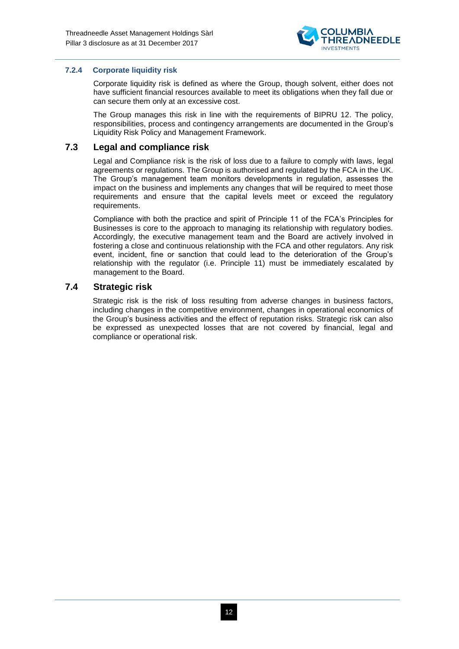

#### **7.2.4 Corporate liquidity risk**

Corporate liquidity risk is defined as where the Group, though solvent, either does not have sufficient financial resources available to meet its obligations when they fall due or can secure them only at an excessive cost.

The Group manages this risk in line with the requirements of BIPRU 12. The policy, responsibilities, process and contingency arrangements are documented in the Group's Liquidity Risk Policy and Management Framework.

### **7.3 Legal and compliance risk**

<span id="page-11-0"></span>Legal and Compliance risk is the risk of loss due to a failure to comply with laws, legal agreements or regulations. The Group is authorised and regulated by the FCA in the UK. The Group's management team monitors developments in regulation, assesses the impact on the business and implements any changes that will be required to meet those requirements and ensure that the capital levels meet or exceed the regulatory requirements.

Compliance with both the practice and spirit of Principle 11 of the FCA's Principles for Businesses is core to the approach to managing its relationship with regulatory bodies. Accordingly, the executive management team and the Board are actively involved in fostering a close and continuous relationship with the FCA and other regulators. Any risk event, incident, fine or sanction that could lead to the deterioration of the Group's relationship with the regulator (i.e. Principle 11) must be immediately escalated by management to the Board.

### **7.4 Strategic risk**

<span id="page-11-1"></span>Strategic risk is the risk of loss resulting from adverse changes in business factors, including changes in the competitive environment, changes in operational economics of the Group's business activities and the effect of reputation risks. Strategic risk can also be expressed as unexpected losses that are not covered by financial, legal and compliance or operational risk.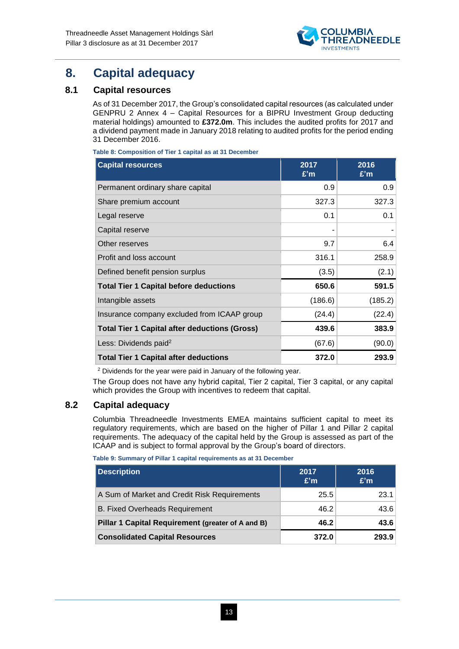

# <span id="page-12-0"></span>**8. Capital adequacy**

### **8.1 Capital resources**

<span id="page-12-1"></span>As of 31 December 2017, the Group's consolidated capital resources (as calculated under GENPRU 2 Annex 4 – Capital Resources for a BIPRU Investment Group deducting material holdings) amounted to **£372.0m**. This includes the audited profits for 2017 and a dividend payment made in January 2018 relating to audited profits for the period ending 31 December 2016.

**Table 8: Composition of Tier 1 capital as at 31 December**

| <b>Capital resources</b>                             | 2017<br>E'm | 2016<br>E'm |
|------------------------------------------------------|-------------|-------------|
| Permanent ordinary share capital                     | 0.9         | 0.9         |
| Share premium account                                | 327.3       | 327.3       |
| Legal reserve                                        | 0.1         | 0.1         |
| Capital reserve                                      |             |             |
| Other reserves                                       | 9.7         | 6.4         |
| Profit and loss account                              | 316.1       | 258.9       |
| Defined benefit pension surplus                      | (3.5)       | (2.1)       |
| <b>Total Tier 1 Capital before deductions</b>        | 650.6       | 591.5       |
| Intangible assets                                    | (186.6)     | (185.2)     |
| Insurance company excluded from ICAAP group          | (24.4)      | (22.4)      |
| <b>Total Tier 1 Capital after deductions (Gross)</b> | 439.6       | 383.9       |
| Less: Dividends paid <sup>2</sup>                    | (67.6)      | (90.0)      |
| <b>Total Tier 1 Capital after deductions</b>         | 372.0       | 293.9       |

<sup>2</sup> Dividends for the year were paid in January of the following year.

The Group does not have any hybrid capital, Tier 2 capital, Tier 3 capital, or any capital which provides the Group with incentives to redeem that capital.

### **8.2 Capital adequacy**

<span id="page-12-2"></span>Columbia Threadneedle Investments EMEA maintains sufficient capital to meet its regulatory requirements, which are based on the higher of Pillar 1 and Pillar 2 capital requirements. The adequacy of the capital held by the Group is assessed as part of the ICAAP and is subject to formal approval by the Group's board of directors.

**Table 9: Summary of Pillar 1 capital requirements as at 31 December**

| Description                                       | 2017<br>E'm | 2016<br>E'm |
|---------------------------------------------------|-------------|-------------|
| A Sum of Market and Credit Risk Requirements      | 25.5        | 23.1        |
| <b>B. Fixed Overheads Requirement</b>             | 46.2        | 43.6        |
| Pillar 1 Capital Requirement (greater of A and B) | 46.2        | 43.6        |
| <b>Consolidated Capital Resources</b>             | 372.0       | 293.9       |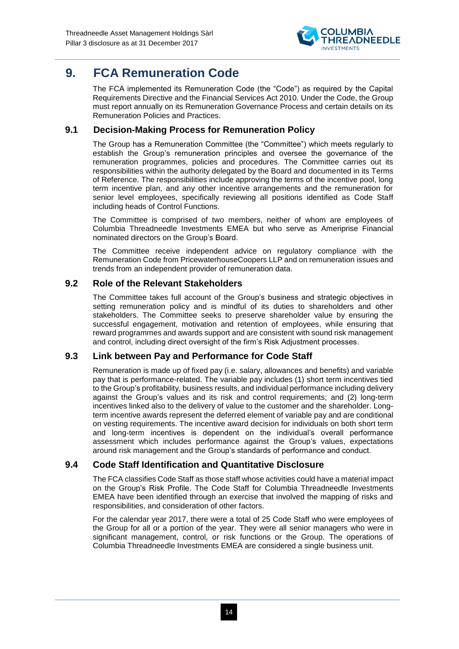

# <span id="page-13-0"></span>**9. FCA Remuneration Code**

The FCA implemented its Remuneration Code (the "Code") as required by the Capital Requirements Directive and the Financial Services Act 2010. Under the Code, the Group must report annually on its Remuneration Governance Process and certain details on its Remuneration Policies and Practices.

### **9.1 Decision-Making Process for Remuneration Policy**

<span id="page-13-1"></span>The Group has a Remuneration Committee (the "Committee") which meets regularly to establish the Group's remuneration principles and oversee the governance of the remuneration programmes, policies and procedures. The Committee carries out its responsibilities within the authority delegated by the Board and documented in its Terms of Reference. The responsibilities include approving the terms of the incentive pool, long term incentive plan, and any other incentive arrangements and the remuneration for senior level employees, specifically reviewing all positions identified as Code Staff including heads of Control Functions.

The Committee is comprised of two members, neither of whom are employees of Columbia Threadneedle Investments EMEA but who serve as Ameriprise Financial nominated directors on the Group's Board.

The Committee receive independent advice on regulatory compliance with the Remuneration Code from PricewaterhouseCoopers LLP and on remuneration issues and trends from an independent provider of remuneration data.

### <span id="page-13-2"></span>**9.2 Role of the Relevant Stakeholders**

The Committee takes full account of the Group's business and strategic objectives in setting remuneration policy and is mindful of its duties to shareholders and other stakeholders. The Committee seeks to preserve shareholder value by ensuring the successful engagement, motivation and retention of employees, while ensuring that reward programmes and awards support and are consistent with sound risk management and control, including direct oversight of the firm's Risk Adjustment processes.

### <span id="page-13-3"></span>**9.3 Link between Pay and Performance for Code Staff**

Remuneration is made up of fixed pay (i.e. salary, allowances and benefits) and variable pay that is performance-related. The variable pay includes (1) short term incentives tied to the Group's profitability, business results, and individual performance including delivery against the Group's values and its risk and control requirements; and (2) long-term incentives linked also to the delivery of value to the customer and the shareholder. Longterm incentive awards represent the deferred element of variable pay and are conditional on vesting requirements. The incentive award decision for individuals on both short term and long-term incentives is dependent on the individual's overall performance assessment which includes performance against the Group's values, expectations around risk management and the Group's standards of performance and conduct.

### <span id="page-13-4"></span>**9.4 Code Staff Identification and Quantitative Disclosure**

The FCA classifies Code Staff as those staff whose activities could have a material impact on the Group's Risk Profile. The Code Staff for Columbia Threadneedle Investments EMEA have been identified through an exercise that involved the mapping of risks and responsibilities, and consideration of other factors.

For the calendar year 2017, there were a total of 25 Code Staff who were employees of the Group for all or a portion of the year. They were all senior managers who were in significant management, control, or risk functions or the Group. The operations of Columbia Threadneedle Investments EMEA are considered a single business unit.